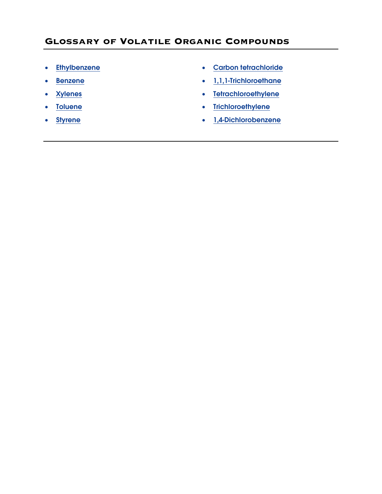- 
- 
- 
- 
- 
- <span id="page-0-0"></span>• [Ethylbenzene](#page-1-0) • Carbon tetrachloride
- [Benzene](#page-2-0) [1,1,1-Trichloroethane](#page-7-0)
- [Xylenes](#page-3-0) [Tetrachloroethylene](#page-8-0)
- [Toluene](#page-4-0)  Trichloroethylene
- [Styrene](#page-5-0) [1,4-Dichlorobenzene](#page-10-0)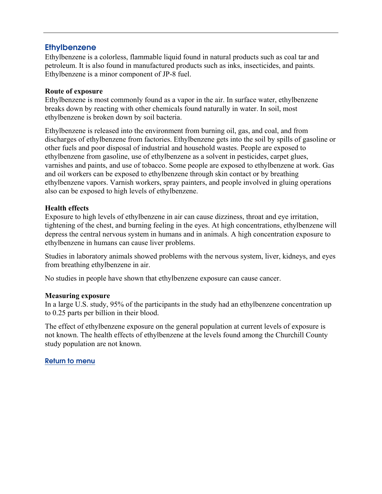## <span id="page-1-0"></span>**Ethylbenzene**

Ethylbenzene is a colorless, flammable liquid found in natural products such as coal tar and petroleum. It is also found in manufactured products such as inks, insecticides, and paints. Ethylbenzene is a minor component of JP-8 fuel.

### **Route of exposure**

Ethylbenzene is most commonly found as a vapor in the air. In surface water, ethylbenzene breaks down by reacting with other chemicals found naturally in water. In soil, most ethylbenzene is broken down by soil bacteria.

Ethylbenzene is released into the environment from burning oil, gas, and coal, and from discharges of ethylbenzene from factories. Ethylbenzene gets into the soil by spills of gasoline or other fuels and poor disposal of industrial and household wastes. People are exposed to ethylbenzene from gasoline, use of ethylbenzene as a solvent in pesticides, carpet glues, varnishes and paints, and use of tobacco. Some people are exposed to ethylbenzene at work. Gas and oil workers can be exposed to ethylbenzene through skin contact or by breathing ethylbenzene vapors. Varnish workers, spray painters, and people involved in gluing operations also can be exposed to high levels of ethylbenzene.

### **Health effects**

Exposure to high levels of ethylbenzene in air can cause dizziness, throat and eye irritation, tightening of the chest, and burning feeling in the eyes. At high concentrations, ethylbenzene will depress the central nervous system in humans and in animals. A high concentration exposure to ethylbenzene in humans can cause liver problems.

Studies in laboratory animals showed problems with the nervous system, liver, kidneys, and eyes from breathing ethylbenzene in air.

No studies in people have shown that ethylbenzene exposure can cause cancer.

### **Measuring exposure**

In a large U.S. study, 95% of the participants in the study had an ethylbenzene concentration up to 0.25 parts per billion in their blood.

The effect of ethylbenzene exposure on the general population at current levels of exposure is not known. The health effects of ethylbenzene at the levels found among the Churchill County study population are not known.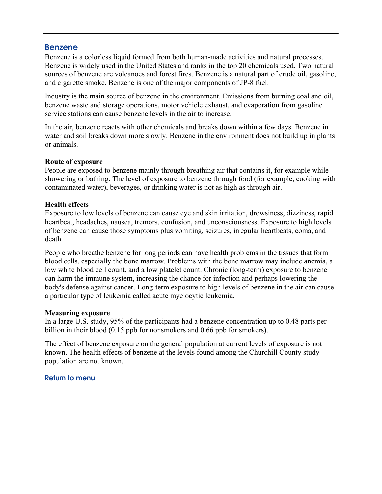### <span id="page-2-0"></span>Benzene

Benzene is a colorless liquid formed from both human-made activities and natural processes. Benzene is widely used in the United States and ranks in the top 20 chemicals used. Two natural sources of benzene are volcanoes and forest fires. Benzene is a natural part of crude oil, gasoline, and cigarette smoke. Benzene is one of the major components of JP-8 fuel.

Industry is the main source of benzene in the environment. Emissions from burning coal and oil, benzene waste and storage operations, motor vehicle exhaust, and evaporation from gasoline service stations can cause benzene levels in the air to increase.

In the air, benzene reacts with other chemicals and breaks down within a few days. Benzene in water and soil breaks down more slowly. Benzene in the environment does not build up in plants or animals.

### **Route of exposure**

People are exposed to benzene mainly through breathing air that contains it, for example while showering or bathing. The level of exposure to benzene through food (for example, cooking with contaminated water), beverages, or drinking water is not as high as through air.

### **Health effects**

Exposure to low levels of benzene can cause eye and skin irritation, drowsiness, dizziness, rapid heartbeat, headaches, nausea, tremors, confusion, and unconsciousness. Exposure to high levels of benzene can cause those symptoms plus vomiting, seizures, irregular heartbeats, coma, and death.

People who breathe benzene for long periods can have health problems in the tissues that form blood cells, especially the bone marrow. Problems with the bone marrow may include anemia, a low white blood cell count, and a low platelet count. Chronic (long-term) exposure to benzene can harm the immune system, increasing the chance for infection and perhaps lowering the body's defense against cancer. Long-term exposure to high levels of benzene in the air can cause a particular type of leukemia called acute myelocytic leukemia.

### **Measuring exposure**

In a large U.S. study, 95% of the participants had a benzene concentration up to 0.48 parts per billion in their blood (0.15 ppb for nonsmokers and 0.66 ppb for smokers).

The effect of benzene exposure on the general population at current levels of exposure is not known. The health effects of benzene at the levels found among the Churchill County study population are not known.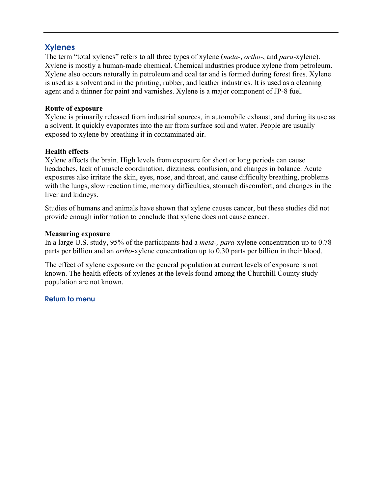# <span id="page-3-0"></span>Xylenes

The term "total xylenes" refers to all three types of xylene (*meta*-, *ortho*-, and *para*-xylene). Xylene is mostly a human-made chemical. Chemical industries produce xylene from petroleum. Xylene also occurs naturally in petroleum and coal tar and is formed during forest fires. Xylene is used as a solvent and in the printing, rubber, and leather industries. It is used as a cleaning agent and a thinner for paint and varnishes. Xylene is a major component of JP-8 fuel.

## **Route of exposure**

Xylene is primarily released from industrial sources, in automobile exhaust, and during its use as a solvent. It quickly evaporates into the air from surface soil and water. People are usually exposed to xylene by breathing it in contaminated air.

## **Health effects**

Xylene affects the brain. High levels from exposure for short or long periods can cause headaches, lack of muscle coordination, dizziness, confusion, and changes in balance. Acute exposures also irritate the skin, eyes, nose, and throat, and cause difficulty breathing, problems with the lungs, slow reaction time, memory difficulties, stomach discomfort, and changes in the liver and kidneys.

Studies of humans and animals have shown that xylene causes cancer, but these studies did not provide enough information to conclude that xylene does not cause cancer.

## **Measuring exposure**

In a large U.S. study, 95% of the participants had a *meta-, para*-xylene concentration up to 0.78 parts per billion and an *ortho*-xylene concentration up to 0.30 parts per billion in their blood.

The effect of xylene exposure on the general population at current levels of exposure is not known. The health effects of xylenes at the levels found among the Churchill County study population are not known.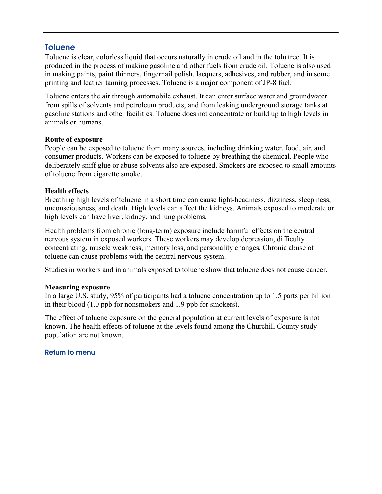## <span id="page-4-0"></span>**Toluene**

Toluene is clear, colorless liquid that occurs naturally in crude oil and in the tolu tree. It is produced in the process of making gasoline and other fuels from crude oil. Toluene is also used in making paints, paint thinners, fingernail polish, lacquers, adhesives, and rubber, and in some printing and leather tanning processes. Toluene is a major component of JP-8 fuel.

Toluene enters the air through automobile exhaust. It can enter surface water and groundwater from spills of solvents and petroleum products, and from leaking underground storage tanks at gasoline stations and other facilities. Toluene does not concentrate or build up to high levels in animals or humans.

### **Route of exposure**

People can be exposed to toluene from many sources, including drinking water, food, air, and consumer products. Workers can be exposed to toluene by breathing the chemical. People who deliberately sniff glue or abuse solvents also are exposed. Smokers are exposed to small amounts of toluene from cigarette smoke.

### **Health effects**

Breathing high levels of toluene in a short time can cause light-headiness, dizziness, sleepiness, unconsciousness, and death. High levels can affect the kidneys. Animals exposed to moderate or high levels can have liver, kidney, and lung problems.

Health problems from chronic (long-term) exposure include harmful effects on the central nervous system in exposed workers. These workers may develop depression, difficulty concentrating, muscle weakness, memory loss, and personality changes. Chronic abuse of toluene can cause problems with the central nervous system.

Studies in workers and in animals exposed to toluene show that toluene does not cause cancer.

#### **Measuring exposure**

In a large U.S. study, 95% of participants had a toluene concentration up to 1.5 parts per billion in their blood (1.0 ppb for nonsmokers and 1.9 ppb for smokers).

The effect of toluene exposure on the general population at current levels of exposure is not known. The health effects of toluene at the levels found among the Churchill County study population are not known.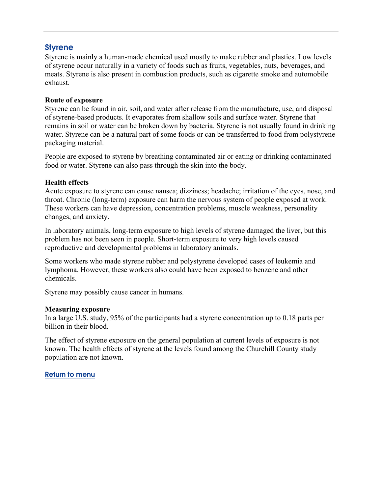## <span id="page-5-0"></span>**Styrene**

Styrene is mainly a human-made chemical used mostly to make rubber and plastics. Low levels of styrene occur naturally in a variety of foods such as fruits, vegetables, nuts, beverages, and meats. Styrene is also present in combustion products, such as cigarette smoke and automobile exhaust.

### **Route of exposure**

Styrene can be found in air, soil, and water after release from the manufacture, use, and disposal of styrene-based products. It evaporates from shallow soils and surface water. Styrene that remains in soil or water can be broken down by bacteria. Styrene is not usually found in drinking water. Styrene can be a natural part of some foods or can be transferred to food from polystyrene packaging material.

People are exposed to styrene by breathing contaminated air or eating or drinking contaminated food or water. Styrene can also pass through the skin into the body.

### **Health effects**

Acute exposure to styrene can cause nausea; dizziness; headache; irritation of the eyes, nose, and throat. Chronic (long-term) exposure can harm the nervous system of people exposed at work. These workers can have depression, concentration problems, muscle weakness, personality changes, and anxiety.

In laboratory animals, long-term exposure to high levels of styrene damaged the liver, but this problem has not been seen in people. Short-term exposure to very high levels caused reproductive and developmental problems in laboratory animals.

Some workers who made styrene rubber and polystyrene developed cases of leukemia and lymphoma. However, these workers also could have been exposed to benzene and other chemicals.

Styrene may possibly cause cancer in humans.

### **Measuring exposure**

In a large U.S. study, 95% of the participants had a styrene concentration up to 0.18 parts per billion in their blood.

The effect of styrene exposure on the general population at current levels of exposure is not known. The health effects of styrene at the levels found among the Churchill County study population are not known.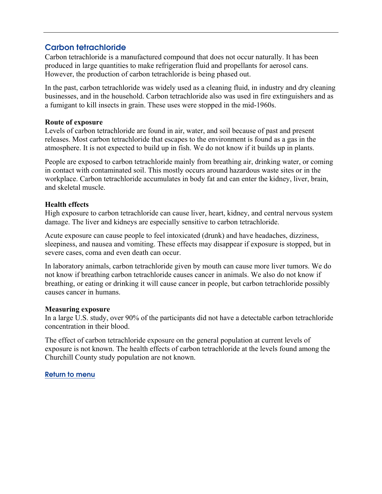# <span id="page-6-0"></span>Carbon tetrachloride

Carbon tetrachloride is a manufactured compound that does not occur naturally. It has been produced in large quantities to make refrigeration fluid and propellants for aerosol cans. However, the production of carbon tetrachloride is being phased out.

In the past, carbon tetrachloride was widely used as a cleaning fluid, in industry and dry cleaning businesses, and in the household. Carbon tetrachloride also was used in fire extinguishers and as a fumigant to kill insects in grain. These uses were stopped in the mid-1960s.

### **Route of exposure**

Levels of carbon tetrachloride are found in air, water, and soil because of past and present releases. Most carbon tetrachloride that escapes to the environment is found as a gas in the atmosphere. It is not expected to build up in fish. We do not know if it builds up in plants.

People are exposed to carbon tetrachloride mainly from breathing air, drinking water, or coming in contact with contaminated soil. This mostly occurs around hazardous waste sites or in the workplace. Carbon tetrachloride accumulates in body fat and can enter the kidney, liver, brain, and skeletal muscle.

## **Health effects**

High exposure to carbon tetrachloride can cause liver, heart, kidney, and central nervous system damage. The liver and kidneys are especially sensitive to carbon tetrachloride.

Acute exposure can cause people to feel intoxicated (drunk) and have headaches, dizziness, sleepiness, and nausea and vomiting. These effects may disappear if exposure is stopped, but in severe cases, coma and even death can occur.

In laboratory animals, carbon tetrachloride given by mouth can cause more liver tumors. We do not know if breathing carbon tetrachloride causes cancer in animals. We also do not know if breathing, or eating or drinking it will cause cancer in people, but carbon tetrachloride possibly causes cancer in humans.

## **Measuring exposure**

In a large U.S. study, over 90% of the participants did not have a detectable carbon tetrachloride concentration in their blood.

The effect of carbon tetrachloride exposure on the general population at current levels of exposure is not known. The health effects of carbon tetrachloride at the levels found among the Churchill County study population are not known.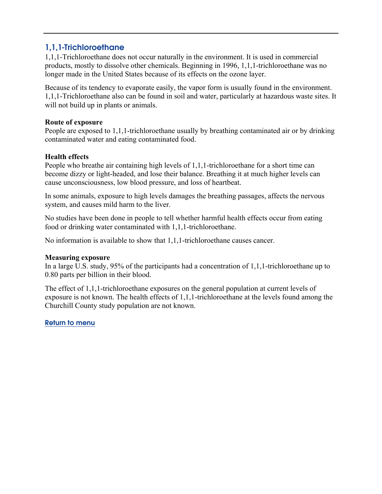# <span id="page-7-0"></span>1,1,1-Trichloroethane

1,1,1-Trichloroethane does not occur naturally in the environment. It is used in commercial products, mostly to dissolve other chemicals. Beginning in 1996, 1,1,1-trichloroethane was no longer made in the United States because of its effects on the ozone layer.

Because of its tendency to evaporate easily, the vapor form is usually found in the environment. 1,1,1-Trichloroethane also can be found in soil and water, particularly at hazardous waste sites. It will not build up in plants or animals.

### **Route of exposure**

People are exposed to 1,1,1-trichloroethane usually by breathing contaminated air or by drinking contaminated water and eating contaminated food.

### **Health effects**

People who breathe air containing high levels of 1,1,1-trichloroethane for a short time can become dizzy or light-headed, and lose their balance. Breathing it at much higher levels can cause unconsciousness, low blood pressure, and loss of heartbeat.

In some animals, exposure to high levels damages the breathing passages, affects the nervous system, and causes mild harm to the liver.

No studies have been done in people to tell whether harmful health effects occur from eating food or drinking water contaminated with 1,1,1-trichloroethane.

No information is available to show that 1,1,1-trichloroethane causes cancer.

### **Measuring exposure**

In a large U.S. study, 95% of the participants had a concentration of 1,1,1-trichloroethane up to 0.80 parts per billion in their blood.

The effect of 1,1,1-trichloroethane exposures on the general population at current levels of exposure is not known. The health effects of 1,1,1-trichloroethane at the levels found among the Churchill County study population are not known.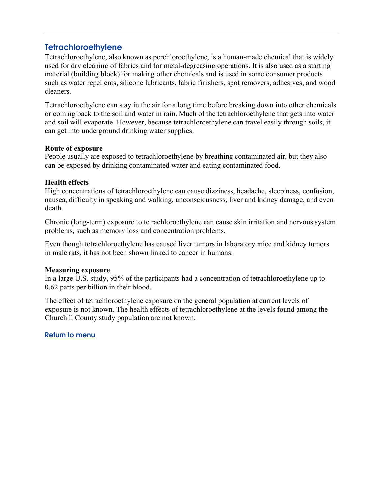## <span id="page-8-0"></span>**Tetrachloroethylene**

Tetrachloroethylene, also known as perchloroethylene, is a human-made chemical that is widely used for dry cleaning of fabrics and for metal-degreasing operations. It is also used as a starting material (building block) for making other chemicals and is used in some consumer products such as water repellents, silicone lubricants, fabric finishers, spot removers, adhesives, and wood cleaners.

Tetrachloroethylene can stay in the air for a long time before breaking down into other chemicals or coming back to the soil and water in rain. Much of the tetrachloroethylene that gets into water and soil will evaporate. However, because tetrachloroethylene can travel easily through soils, it can get into underground drinking water supplies.

### **Route of exposure**

People usually are exposed to tetrachloroethylene by breathing contaminated air, but they also can be exposed by drinking contaminated water and eating contaminated food.

## **Health effects**

High concentrations of tetrachloroethylene can cause dizziness, headache, sleepiness, confusion, nausea, difficulty in speaking and walking, unconsciousness, liver and kidney damage, and even death.

Chronic (long-term) exposure to tetrachloroethylene can cause skin irritation and nervous system problems, such as memory loss and concentration problems.

Even though tetrachloroethylene has caused liver tumors in laboratory mice and kidney tumors in male rats, it has not been shown linked to cancer in humans.

### **Measuring exposure**

In a large U.S. study, 95% of the participants had a concentration of tetrachloroethylene up to 0.62 parts per billion in their blood.

The effect of tetrachloroethylene exposure on the general population at current levels of exposure is not known. The health effects of tetrachloroethylene at the levels found among the Churchill County study population are not known.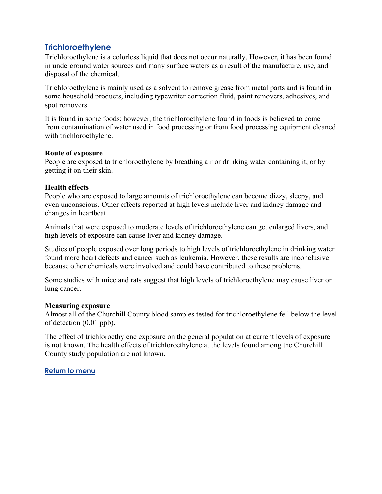# <span id="page-9-0"></span>**Trichloroethylene**

Trichloroethylene is a colorless liquid that does not occur naturally. However, it has been found in underground water sources and many surface waters as a result of the manufacture, use, and disposal of the chemical.

Trichloroethylene is mainly used as a solvent to remove grease from metal parts and is found in some household products, including typewriter correction fluid, paint removers, adhesives, and spot removers.

It is found in some foods; however, the trichloroethylene found in foods is believed to come from contamination of water used in food processing or from food processing equipment cleaned with trichloroethylene.

## **Route of exposure**

People are exposed to trichloroethylene by breathing air or drinking water containing it, or by getting it on their skin.

## **Health effects**

People who are exposed to large amounts of trichloroethylene can become dizzy, sleepy, and even unconscious. Other effects reported at high levels include liver and kidney damage and changes in heartbeat.

Animals that were exposed to moderate levels of trichloroethylene can get enlarged livers, and high levels of exposure can cause liver and kidney damage.

Studies of people exposed over long periods to high levels of trichloroethylene in drinking water found more heart defects and cancer such as leukemia. However, these results are inconclusive because other chemicals were involved and could have contributed to these problems.

Some studies with mice and rats suggest that high levels of trichloroethylene may cause liver or lung cancer.

### **Measuring exposure**

Almost all of the Churchill County blood samples tested for trichloroethylene fell below the level of detection (0.01 ppb).

The effect of trichloroethylene exposure on the general population at current levels of exposure is not known. The health effects of trichloroethylene at the levels found among the Churchill County study population are not known.